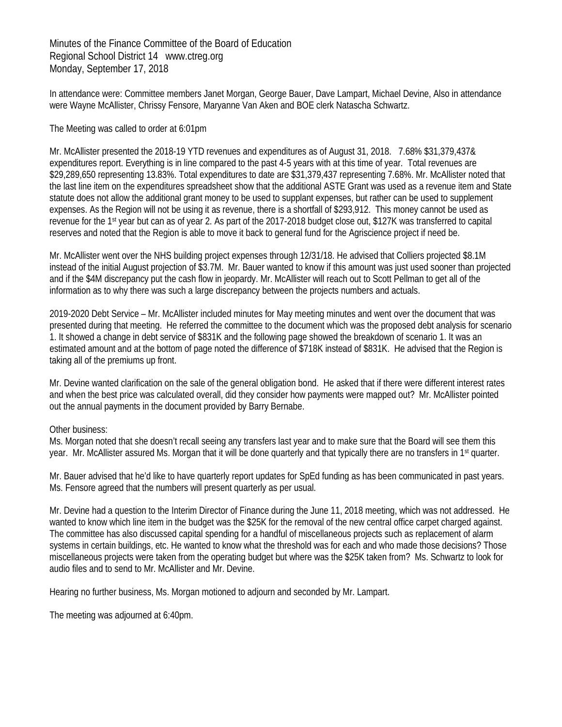Minutes of the Finance Committee of the Board of Education Regional School District 14 www.ctreg.org Monday, September 17, 2018

In attendance were: Committee members Janet Morgan, George Bauer, Dave Lampart, Michael Devine, Also in attendance were Wayne McAllister, Chrissy Fensore, Maryanne Van Aken and BOE clerk Natascha Schwartz.

## The Meeting was called to order at 6:01pm

Mr. McAllister presented the 2018-19 YTD revenues and expenditures as of August 31, 2018. 7.68% \$31,379,437& expenditures report. Everything is in line compared to the past 4-5 years with at this time of year. Total revenues are \$29,289,650 representing 13.83%. Total expenditures to date are \$31,379,437 representing 7.68%. Mr. McAllister noted that the last line item on the expenditures spreadsheet show that the additional ASTE Grant was used as a revenue item and State statute does not allow the additional grant money to be used to supplant expenses, but rather can be used to supplement expenses. As the Region will not be using it as revenue, there is a shortfall of \$293,912. This money cannot be used as revenue for the 1st year but can as of year 2. As part of the 2017-2018 budget close out, \$127K was transferred to capital reserves and noted that the Region is able to move it back to general fund for the Agriscience project if need be.

Mr. McAllister went over the NHS building project expenses through 12/31/18. He advised that Colliers projected \$8.1M instead of the initial August projection of \$3.7M. Mr. Bauer wanted to know if this amount was just used sooner than projected and if the \$4M discrepancy put the cash flow in jeopardy. Mr. McAllister will reach out to Scott Pellman to get all of the information as to why there was such a large discrepancy between the projects numbers and actuals.

2019-2020 Debt Service – Mr. McAllister included minutes for May meeting minutes and went over the document that was presented during that meeting. He referred the committee to the document which was the proposed debt analysis for scenario 1. It showed a change in debt service of \$831K and the following page showed the breakdown of scenario 1. It was an estimated amount and at the bottom of page noted the difference of \$718K instead of \$831K. He advised that the Region is taking all of the premiums up front.

Mr. Devine wanted clarification on the sale of the general obligation bond. He asked that if there were different interest rates and when the best price was calculated overall, did they consider how payments were mapped out? Mr. McAllister pointed out the annual payments in the document provided by Barry Bernabe.

## Other business:

Ms. Morgan noted that she doesn't recall seeing any transfers last year and to make sure that the Board will see them this year. Mr. McAllister assured Ms. Morgan that it will be done quarterly and that typically there are no transfers in 1<sup>st</sup> quarter.

Mr. Bauer advised that he'd like to have quarterly report updates for SpEd funding as has been communicated in past years. Ms. Fensore agreed that the numbers will present quarterly as per usual.

Mr. Devine had a question to the Interim Director of Finance during the June 11, 2018 meeting, which was not addressed. He wanted to know which line item in the budget was the \$25K for the removal of the new central office carpet charged against. The committee has also discussed capital spending for a handful of miscellaneous projects such as replacement of alarm systems in certain buildings, etc. He wanted to know what the threshold was for each and who made those decisions? Those miscellaneous projects were taken from the operating budget but where was the \$25K taken from? Ms. Schwartz to look for audio files and to send to Mr. McAllister and Mr. Devine.

Hearing no further business, Ms. Morgan motioned to adjourn and seconded by Mr. Lampart.

The meeting was adjourned at 6:40pm.